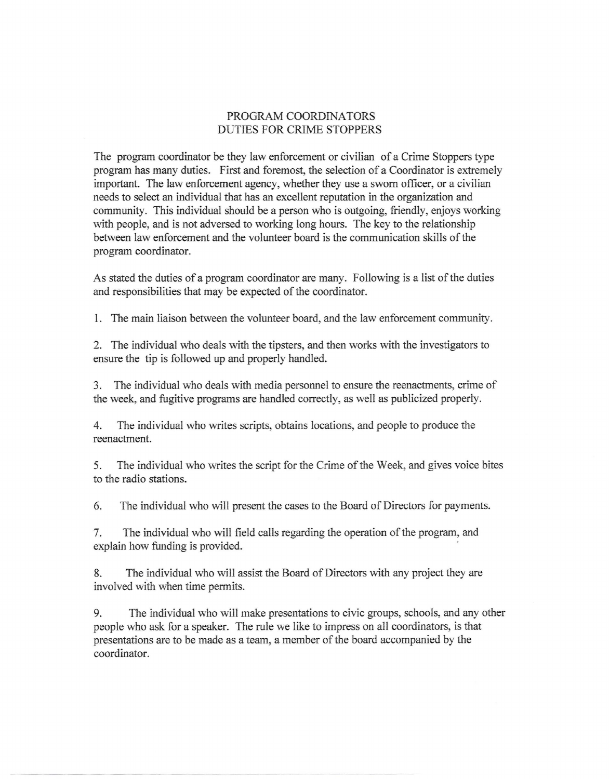## PROGRAM COORDINATORS DUTIES FOR CRIME STOPPERS

The program coordinator be they law enforcement or civilian of a Crime Stoppers type program has many duties. First and foremost, the selection of a Coordinator is extremely important. The law enforcement agency, whether they use a sworn officer, or a civilian needs to select an individual that has an excellent reputation in the organization and community. This individual should be a person who is outgoing, friendly, enjoys working with people, and is not adversed to working long hours. The key to the relationship between law enforcement and the volunteer board is the communication skills of the program coordinator.

As stated the duties of a program coordinator are many. Following is a list of the duties and responsibilities that may be expected of the coordinator.

1. The main liaison between the volunteer board, and the law enforcement community.

2. The individual who deals with the tipsters, and then works with the investigators to ensure the tip is followed up and properly handled.

3. The individual who deals with media personnel to ensure the reenactments, crime of the week, and fugitive programs are handled correctly, as well as publicized properly.

4. The individual who writes scripts, obtains locations, and people to produce the reenactment.

5. The individual who writes the script for the Crime of the Week, and gives voice bites to the radio stations.

6. The individual who will present the cases to the Board of Directors for payments.

7. The individual who will field calls regarding the operation of the program, and explain how funding is provided.

8. The individual who will assist the Board of Directors with any project they are involved with when time permits.

~~~~- --~~~-- - - ~~~~~-

9. The individual who will make presentations to civic groups, schools, and any other people who ask for a speaker. The rule we like to impress on all coordinators, is that presentations are to be made as a team, a member of the board accompanied by the coordinator.